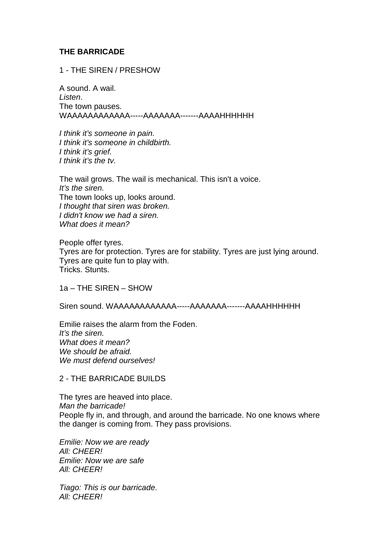# **THE BARRICADE**

1 - THE SIREN / PRESHOW

A sound. A wail. Listen. The town pauses. WAAAAAAAAAAAA-----AAAAAAA-------AAAAHHHHHH

I think it's someone in pain. I think it's someone in childbirth. I think it's grief. I think it's the tv.

The wail grows. The wail is mechanical. This isn't a voice. It's the siren. The town looks up, looks around. I thought that siren was broken. I didn't know we had a siren. What does it mean?

People offer tyres. Tyres are for protection. Tyres are for stability. Tyres are just lying around. Tyres are quite fun to play with. Tricks. Stunts.

1a – THE SIREN – SHOW

Siren sound. WAAAAAAAAAAAA-----AAAAAAA-------AAAAHHHHHH

Emilie raises the alarm from the Foden. It's the siren. What does it mean? We should be afraid. We must defend ourselves!

## 2 - THE BARRICADE BUILDS

The tyres are heaved into place. Man the barricade! People fly in, and through, and around the barricade. No one knows where the danger is coming from. They pass provisions.

Emilie: Now we are ready All: CHEER! Emilie: Now we are safe All: CHEER!

Tiago: This is our barricade. All: CHEER!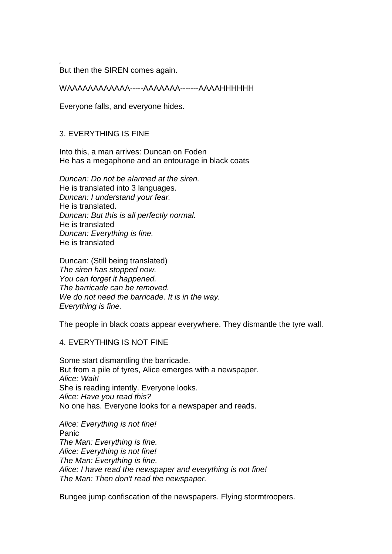But then the SIREN comes again.

WAAAAAAAAAAAA-----AAAAAAA-------AAAAHHHHHH

Everyone falls, and everyone hides.

## 3. EVERYTHING IS FINE

.

Into this, a man arrives: Duncan on Foden He has a megaphone and an entourage in black coats

Duncan: Do not be alarmed at the siren. He is translated into 3 languages. Duncan: I understand your fear. He is translated. Duncan: But this is all perfectly normal. He is translated Duncan: Everything is fine. He is translated

Duncan: (Still being translated) The siren has stopped now. You can forget it happened. The barricade can be removed. We do not need the barricade. It is in the way. Everything is fine.

The people in black coats appear everywhere. They dismantle the tyre wall.

## 4. EVERYTHING IS NOT FINE

Some start dismantling the barricade. But from a pile of tyres, Alice emerges with a newspaper. Alice: Wait! She is reading intently. Everyone looks. Alice: Have you read this? No one has. Everyone looks for a newspaper and reads.

Alice: Everything is not fine! Panic The Man: Everything is fine. Alice: Everything is not fine! The Man: Everything is fine. Alice: I have read the newspaper and everything is not fine! The Man: Then don't read the newspaper.

Bungee jump confiscation of the newspapers. Flying stormtroopers.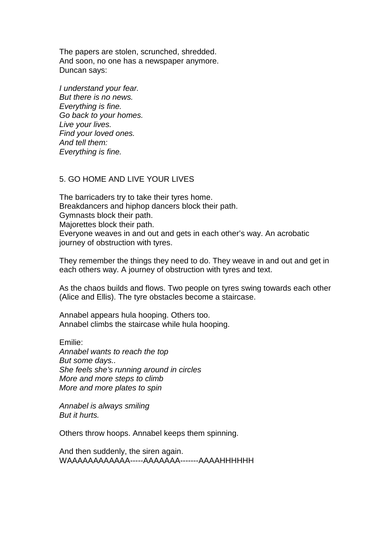The papers are stolen, scrunched, shredded. And soon, no one has a newspaper anymore. Duncan says:

I understand your fear. But there is no news. Everything is fine. Go back to your homes. Live your lives. Find your loved ones. And tell them: Everything is fine.

#### 5. GO HOME AND LIVE YOUR LIVES

The barricaders try to take their tyres home. Breakdancers and hiphop dancers block their path. Gymnasts block their path. Majorettes block their path. Everyone weaves in and out and gets in each other's way. An acrobatic journey of obstruction with tyres.

They remember the things they need to do. They weave in and out and get in each others way. A journey of obstruction with tyres and text.

As the chaos builds and flows. Two people on tyres swing towards each other (Alice and Ellis). The tyre obstacles become a staircase.

Annabel appears hula hooping. Others too. Annabel climbs the staircase while hula hooping.

Emilie: Annabel wants to reach the top But some days.. She feels she's running around in circles More and more steps to climb More and more plates to spin

Annabel is always smiling But it hurts.

Others throw hoops. Annabel keeps them spinning.

And then suddenly, the siren again. WAAAAAAAAAAAA-----AAAAAAA-------AAAAHHHHHH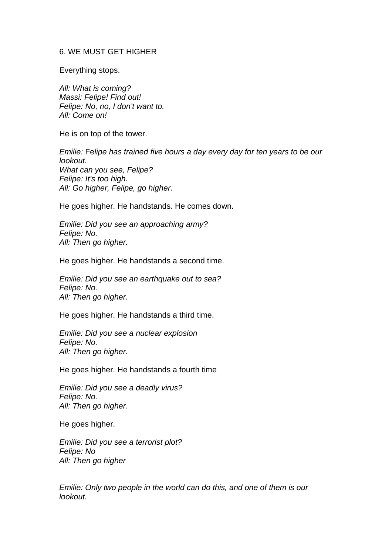#### 6. WE MUST GET HIGHER

Everything stops.

All: What is coming? Massi: Felipe! Find out! Felipe: No, no, I don't want to. All: Come on!

He is on top of the tower.

Emilie: Felipe has trained five hours a day every day for ten years to be our lookout. What can you see, Felipe? Felipe: It's too high. All: Go higher, Felipe, go higher.

He goes higher. He handstands. He comes down.

Emilie: Did you see an approaching army? Felipe: No. All: Then go higher.

He goes higher. He handstands a second time.

Emilie: Did you see an earthquake out to sea? Felipe: No. All: Then go higher.

He goes higher. He handstands a third time.

Emilie: Did you see a nuclear explosion Felipe: No. All: Then go higher.

He goes higher. He handstands a fourth time

Emilie: Did you see a deadly virus? Felipe: No. All: Then go higher.

He goes higher.

Emilie: Did you see a terrorist plot? Felipe: No All: Then go higher

Emilie: Only two people in the world can do this, and one of them is our lookout.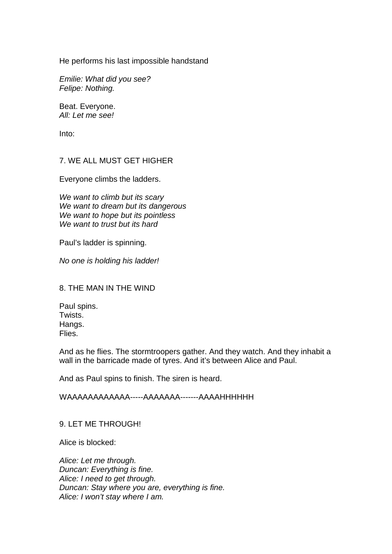He performs his last impossible handstand

Emilie: What did you see? Felipe: Nothing.

Beat. Everyone. All: Let me see!

Into:

#### 7. WE ALL MUST GET HIGHER

Everyone climbs the ladders.

We want to climb but its scary We want to dream but its dangerous We want to hope but its pointless We want to trust but its hard

Paul's ladder is spinning.

No one is holding his ladder!

#### 8. THE MAN IN THE WIND

Paul spins. Twists. Hangs. Flies.

And as he flies. The stormtroopers gather. And they watch. And they inhabit a wall in the barricade made of tyres. And it's between Alice and Paul.

And as Paul spins to finish. The siren is heard.

## WAAAAAAAAAAAA-----AAAAAAA-------AAAAHHHHHH

## 9. LET ME THROUGH!

Alice is blocked:

Alice: Let me through. Duncan: Everything is fine. Alice: I need to get through. Duncan: Stay where you are, everything is fine. Alice: I won't stay where I am.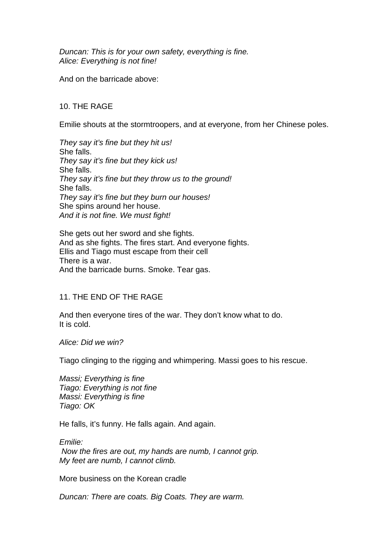Duncan: This is for your own safety, everything is fine. Alice: Everything is not fine!

And on the barricade above:

## 10. THE RAGE

Emilie shouts at the stormtroopers, and at everyone, from her Chinese poles.

They say it's fine but they hit us! She falls. They say it's fine but they kick us! She falls. They say it's fine but they throw us to the ground! She falls. They say it's fine but they burn our houses! She spins around her house. And it is not fine. We must fight!

She gets out her sword and she fights. And as she fights. The fires start. And everyone fights. Ellis and Tiago must escape from their cell There is a war. And the barricade burns. Smoke. Tear gas.

#### 11. THE END OF THE RAGE

And then everyone tires of the war. They don't know what to do. It is cold.

Alice: Did we win?

Tiago clinging to the rigging and whimpering. Massi goes to his rescue.

Massi; Everything is fine Tiago: Everything is not fine Massi: Everything is fine Tiago: OK

He falls, it's funny. He falls again. And again.

Emilie: Now the fires are out, my hands are numb, I cannot grip. My feet are numb, I cannot climb.

More business on the Korean cradle

Duncan: There are coats. Big Coats. They are warm.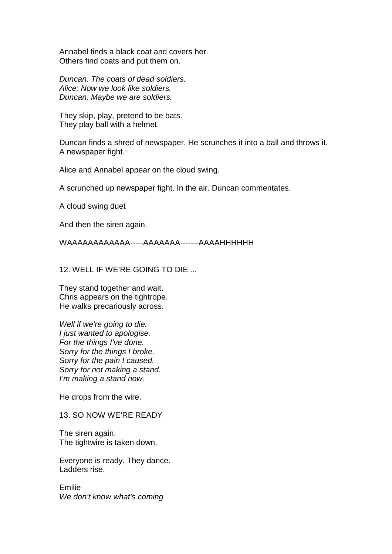Annabel finds a black coat and covers her. Others find coats and put them on.

Duncan: The coats of dead soldiers. Alice: Now we look like soldiers. Duncan: Maybe we are soldiers.

They skip, play, pretend to be bats. They play ball with a helmet.

Duncan finds a shred of newspaper. He scrunches it into a ball and throws it. A newspaper fight.

Alice and Annabel appear on the cloud swing.

A scrunched up newspaper fight. In the air. Duncan commentates.

A cloud swing duet

And then the siren again.

WAAAAAAAAAAAA-----AAAAAAA-------AAAAHHHHHH

12. WELL IF WE'RE GOING TO DIE ...

They stand together and wait. Chris appears on the tightrope. He walks precariously across.

Well if we're going to die. I just wanted to apologise. For the things I've done. Sorry for the things I broke. Sorry for the pain I caused. Sorry for not making a stand. I'm making a stand now.

He drops from the wire.

13. SO NOW WE'RE READY

The siren again. The tightwire is taken down.

Everyone is ready. They dance. Ladders rise.

Emilie We don't know what's coming